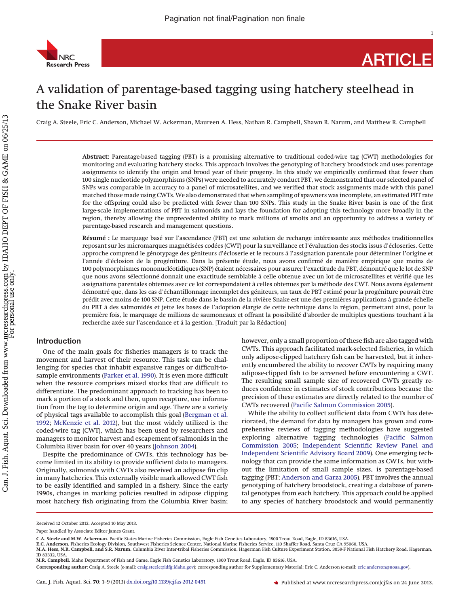

1

# A validation of parentage-based tagging using hatchery steelhead in the Snake River basin

Craig A. Steele, Eric C. Anderson, Michael W. Ackerman, Maureen A. Hess, Nathan R. Campbell, Shawn R. Narum, and Matthew R. Campbell

**Abstract:** Parentage-based tagging (PBT) is a promising alternative to traditional coded-wire tag (CWT) methodologies for monitoring and evaluating hatchery stocks. This approach involves the genotyping of hatchery broodstock and uses parentage assignments to identify the origin and brood year of their progeny. In this study we empirically confirmed that fewer than 100 single nucleotide polymorphisms (SNPs) were needed to accurately conduct PBT, we demonstrated that our selected panel of SNPs was comparable in accuracy to a panel of microsatellites, and we verified that stock assignments made with this panel matched those made using CWTs. We also demonstrated that when sampling of spawners was incomplete, an estimated PBT rate for the offspring could also be predicted with fewer than 100 SNPs. This study in the Snake River basin is one of the first large-scale implementations of PBT in salmonids and lays the foundation for adopting this technology more broadly in the region, thereby allowing the unprecedented ability to mark millions of smolts and an opportunity to address a variety of parentage-based research and management questions.

**Résumé :** Le marquage basé sur l'ascendance (PBT) est une solution de rechange intéressante aux méthodes traditionnelles reposant sur les micromarques magnétisées codées (CWT) pour la surveillance et l'évaluation des stocks issus d'écloseries. Cette approche comprend le génotypage des géniteurs d'écloserie et le recours a` l'assignation parentale pour déterminer l'origine et l'année d'éclosion de la progéniture. Dans la présente étude, nous avons confirmé de manière empirique que moins de 100 polymorphismes mononucléotidiques (SNP) étaient nécessaires pour assurer l'exactitude du PBT, démontré que le lot de SNP que nous avons sélectionné donnait une exactitude semblable a` celle obtenue avec un lot de microsatellites et vérifié que les assignations parentales obtenues avec ce lot correspondaient a` celles obtenues par la méthode des CWT. Nous avons également démontré que, dans les cas d'échantillonnage incomplet des géniteurs, un taux de PBT estimé pour la progéniture pouvait être prédit avec moins de 100 SNP. Cette étude dans le bassin de la rivière Snake est une des premières applications a` grande échelle du PBT a` des salmonidés et jette les bases de l'adoption élargie de cette technique dans la région, permettant ainsi, pour la première fois, le marquage de millions de saumoneaux et offrant la possibilité d'aborder de multiples questions touchant a` la recherche axée sur l'ascendance et à la gestion. [Traduit par la Rédaction]

# **Introduction**

One of the main goals for fisheries managers is to track the movement and harvest of their resource. This task can be challenging for species that inhabit expansive ranges or difficult-tosample environments [\(Parker et al. 1990\)](#page-8-0). It is even more difficult when the resource comprises mixed stocks that are difficult to differentiate. The predominant approach to tracking has been to mark a portion of a stock and then, upon recapture, use information from the tag to determine origin and age. There are a variety of physical tags available to accomplish this goal [\(Bergman et al.](#page-8-1) [1992;](#page-8-1) [McKenzie et al. 2012\)](#page-8-2), but the most widely utilized is the coded-wire tag (CWT), which has been used by researchers and managers to monitor harvest and escapement of salmonids in the Columbia River basin for over 40 years [\(Johnson 2004\)](#page-8-3).

Despite the predominance of CWTs, this technology has become limited in its ability to provide sufficient data to managers. Originally, salmonids with CWTs also received an adipose fin clip in many hatcheries. This externally visible mark allowed CWT fish to be easily identified and sampled in a fishery. Since the early 1990s, changes in marking policies resulted in adipose clipping most hatchery fish originating from the Columbia River basin; however, only a small proportion of these fish are also tagged with CWTs. This approach facilitated mark-selected fisheries, in which only adipose-clipped hatchery fish can be harvested, but it inherently encumbered the ability to recover CWTs by requiring many adipose-clipped fish to be screened before encountering a CWT. The resulting small sample size of recovered CWTs greatly reduces confidence in estimates of stock contributions because the precision of these estimates are directly related to the number of CWTs recovered [\(Pacific Salmon Commission 2005\)](#page-8-4).

While the ability to collect sufficient data from CWTs has deteriorated, the demand for data by managers has grown and comprehensive reviews of tagging methodologies have suggested exploring alternative tagging technologies [\(Pacific Salmon](#page-8-4) [Commission 2005;](#page-8-4) [Independent Scientific Review Panel and](#page-8-5) [Independent Scientific Advisory Board 2009\)](#page-8-5). One emerging technology that can provide the same information as CWTs, but without the limitation of small sample sizes, is parentage-based tagging (PBT; [Anderson and Garza 2005\)](#page-7-0). PBT involves the annual genotyping of hatchery broodstock, creating a database of parental genotypes from each hatchery. This approach could be applied to any species of hatchery broodstock and would permanently

Received 12 October 2012. Accepted 10 May 2013.

Paper handled by Associate Editor James Grant.

**C.A. Steele and M.W. Ackerman**. Pacific States Marine Fisheries Commission, Eagle Fish Genetics Laboratory, 1800 Trout Road, Eagle, ID 83616, USA.<br>E.**C. Anderson.** Fisheries Ecology Division, Southwest Fisheries Science C

**M.A. Hess, N.R. Campbell, and S.R. Narum.** Columbia River Inter-tribal Fisheries Commission, Hagerman Fish Culture Experiment Station, 3059-F National Fish Hatchery Road, Hagerman, ID 83332, USA.

**M.R. Campbell.** Idaho Department of Fish and Game, Eagle Fish Genetics Laboratory, 1800 Trout Road, Eagle, ID 83616, USA.

**Corresponding author:** Craig A. Steele (e-mail: [craig.steele@idfg.idaho.gov\)](mailto:craig.steele@idfg.idaho.gov); corresponding author for Supplementary Material: Eric C. Anderson (e-mail: [eric.anderson@noaa.gov\)](mailto:eric.anderson@noaa.gov).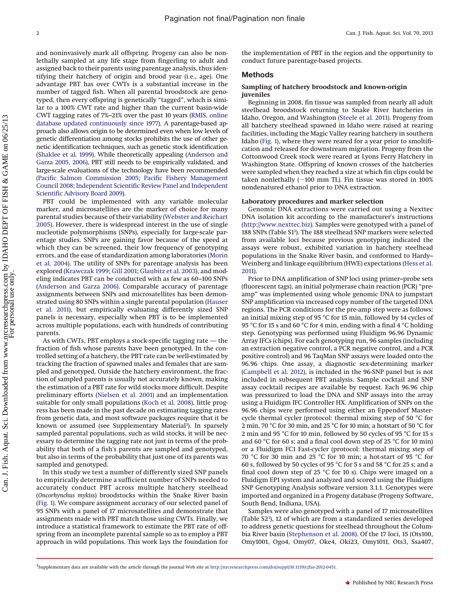and noninvasively mark all offspring. Progeny can also be nonlethally sampled at any life stage from fingerling to adult and assigned back to their parents using parentage analysis, thus identifying their hatchery of origin and brood year (i.e., age). One advantage PBT has over CWTs is a substantial increase in the number of tagged fish. When all parental broodstock are genotyped, then every offspring is genetically "tagged", which is similar to a 100% CWT rate and higher than the current basin-wide CWT tagging rates of 7%–21% over the past 10 years [\(RMIS, online](#page-8-6) [database updated continuously since 1977\)](#page-8-6). A parentage-based approach also allows origin to be determined even when low levels of genetic differentiation among stocks prohibits the use of other genetic identification techniques, such as genetic stock identification [\(Shaklee et al. 1999\)](#page-8-7). While theoretically appealing [\(Anderson and](#page-7-0) [Garza 2005,](#page-7-0) [2006\)](#page-7-1), PBT still needs to be empirically validated, and large-scale evaluations of the technology have been recommended [\(Pacific Salmon Commission 2005;](#page-8-4) [Pacific Fishery Management](#page-8-8) [Council 2008;](#page-8-8) [Independent Scientific Review Panel and Independent](#page-8-5) [Scientific Advisory Board 2009\)](#page-8-5).

PBT could be implemented with any variable molecular marker, and microsatellites are the marker of choice for many parental studies because of their variability [\(Webster and Reichart](#page-8-9) [2005\)](#page-8-9). However, there is widespread interest in the use of single nucleotide polymorphisms (SNPs), especially for large-scale parentage studies. SNPs are gaining favor because of the speed at which they can be screened, their low frequency of genotyping errors, and the ease of standardization among laboratories [\(Morin](#page-8-10) [et al. 2004\)](#page-8-10). The utility of SNPs for parentage analysis has been explored [\(Krawczak 1999;](#page-8-11) [Gill 2001;](#page-8-12) [Glaubitz et al. 2003\)](#page-8-13), and modeling indicates PBT can be conducted with as few as 60–100 SNPs [\(Anderson and Garza 2006\)](#page-7-1). Comparable accuracy of parentage assignments between SNPs and microsatellites has been demonstrated using 80 SNPs within a single parental population [\(Hauser](#page-8-14) [et al. 2011\)](#page-8-14), but empirically evaluating differently sized SNP panels is necessary, especially when PBT is to be implemented across multiple populations, each with hundreds of contributing parents.

As with CWTs, PBT employs a stock-specific tagging rate — the fraction of fish whose parents have been genotyped. In the controlled setting of a hatchery, the PBT rate can be well-estimated by tracking the fraction of spawned males and females that are sampled and genotyped. Outside the hatchery environment, the fraction of sampled parents is usually not accurately known, making the estimation of a PBT rate for wild stocks more difficult. Despite preliminary efforts [\(Nielsen et al. 2001\)](#page-8-15) and an implementation suitable for only small populations [\(Koch et al. 2008\)](#page-8-16), little progress has been made in the past decade on estimating tagging rates from genetic data, and most software packages require that it be known or assumed (see Supplementary Material<sup>1</sup>). In sparsely sampled parental populations, such as wild stocks, it will be necessary to determine the tagging rate not just in terms of the probability that both of a fish's parents are sampled and genotyped, but also in terms of the probability that just one of its parents was sampled and genotyped.

In this study we test a number of differently sized SNP panels to empirically determine a sufficient number of SNPs needed to accurately conduct PBT across multiple hatchery steelhead (*Oncorhynchus mykiss*) broodstocks within the Snake River basin [\(Fig. 1\)](#page-2-0). We compare assignment accuracy of our selected panel of 95 SNPs with a panel of 17 microsatellites and demonstrate that assignments made with PBT match those using CWTs. Finally, we introduce a statistical framework to estimate the PBT rate of offspring from an incomplete parental sample so as to employ a PBT approach in wild populations. This work lays the foundation for

the implementation of PBT in the region and the opportunity to conduct future parentage-based projects.

# **Methods**

# **Sampling of hatchery broodstock and known-origin juveniles**

Beginning in 2008, fin tissue was sampled from nearly all adult steelhead broodstock returning to Snake River hatcheries in Idaho, Oregon, and Washington [\(Steele et al. 2011\)](#page-8-17). Progeny from all hatchery steelhead spawned in Idaho were raised at rearing facilities, including the Magic Valley rearing hatchery in southern Idaho [\(Fig. 1\)](#page-2-0), where they were reared for a year prior to smoltification and released for downstream migration. Progeny from the Cottonwood Creek stock were reared at Lyons Ferry Hatchery in Washington State. Offspring of known crosses of the hatcheries were sampled when they reached a size at which fin clips could be taken nonlethally ( $\sim$ 100 mm TL). Fin tissue was stored in 100% nondenatured ethanol prior to DNA extraction.

# **Laboratory procedures and marker selection**

Genomic DNA extractions were carried out using a Nexttec DNA isolation kit according to the manufacturer's instructions [\(http://www.nexttec.biz\)](http://www.nexttec.biz). Samples were genotyped with a panel of 188 SNPs (Table S[11](#page-1-0) ). The 188 steelhead SNP markers were selected from available loci because previous genotyping indicated the assays were robust, exhibited variation in hatchery steelhead populations in the Snake River basin, and conformed to Hardy– Weinberg and linkage equilibrium (HWE) expectations [\(Hess et al.](#page-8-18) [2011\)](#page-8-18).

Prior to DNA amplification of SNP loci using primer–probe sets (fluorescent tags), an initial polymerase chain reaction (PCR) "preamp" was implemented using whole genomic DNA to jumpstart SNP amplification via increased copy number of the targeted DNA regions. The PCR conditions for the pre-amp step were as follows: an initial mixing step of 95 °C for 15 min, followed by 14 cycles of 95 °C for 15 s and 60 °C for 4 min, ending with a final 4 °C holding step. Genotyping was performed using Fluidigm 96.96 Dynamic Array IFCs (chips). For each genotyping run, 96 samples (including an extraction negative control, a PCR negative control, and a PCR positive control) and 96 TaqMan SNP assays were loaded onto the 96.96 chips. One assay, a diagnostic sex-determining marker [\(Campbell et al. 2012\)](#page-8-19), is included in the 96-SNP panel but is not included in subsequent PBT analysis. Sample cocktail and SNP assay cocktail recipes are available by request. Each 96.96 chip was pressurized to load the DNA and SNP assays into the array using a Fluidigm IFC Controller HX. Amplification of SNPs on the 96.96 chips were performed using either an Eppendorf Mastercycle thermal cycler (protocol: thermal mixing step of 50 °C for 2 min, 70 °C for 30 min, and 25 °C for 10 min; a hotstart of 50 °C for 2 min and 95 °C for 10 min, followed by 50 cycles of 95 °C for 15 s and 60 °C for 60 s; and a final cool down step of 25 °C for 10 min) or a Fluidigm FC1 Fast-cycler (protocol: thermal mixing step of 70 °C for 30 min and 25 °C for 10 min; a hot-start of 95 °C for 60 s, followed by 50 cycles of 95 °C for 5 s and 58 °C for 25 s; and a final cool down step of 25 °C for 10 s). Chips were imaged on a Fluidigm EP1 system and analyzed and scored using the Fluidigm SNP Genotyping Analysis software version 3.1.1. Genotypes were imported and organized in a Progeny database (Progeny Software, South Bend, Indiana, USA).

Samples were also genotyped with a panel of 17 microsatellites (Table S[21](#page-1-0) ), 12 of which are from a standardized series developed to address genetic questions for steelhead throughout the Columbia River basin [\(Stephenson et al. 2008\)](#page-8-20). Of the 17 loci, 15 (Ots100, Omy1001, Ogo4, Omy07, Oke4, Oki23, Omy1011, Ots3, Ssa407,

<span id="page-1-0"></span><sup>&</sup>lt;sup>1</sup>Supplementary data are available with the article through the journal Web site at [http://nrcresearchpress.com/doi/suppl/10.1139/cjfas-2012-0451.](http://nrcresearchpress.com/doi/suppl/10.1139/cjfas-2012-0451)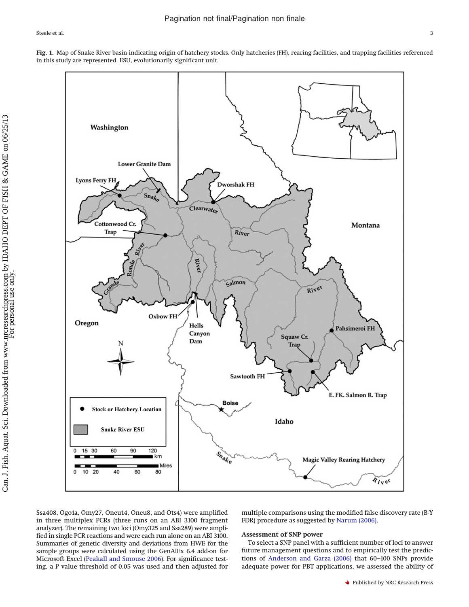<span id="page-2-0"></span>



Ssa408, Ogo1a, Omy27, Oneu14, Oneu8, and Ots4) were amplified in three multiplex PCRs (three runs on an ABI 3100 fragment analyzer). The remaining two loci (Omy325 and Ssa289) were amplified in single PCR reactions and were each run alone on an ABI 3100. Summaries of genetic diversity and deviations from HWE for the sample groups were calculated using the GenAlEx 6.4 add-on for Microsoft Excel [\(Peakall and Smouse 2006\)](#page-8-21). For significance testing, a *P* value threshold of 0.05 was used and then adjusted for

multiple comparisons using the modified false discovery rate (B-Y FDR) procedure as suggested by [Narum \(2006\).](#page-8-22)

# **Assessment of SNP power**

To select a SNP panel with a sufficient number of loci to answer future management questions and to empirically test the predictions of [Anderson and Garza \(2006\)](#page-7-1) that 60–100 SNPs provide adequate power for PBT applications, we assessed the ability of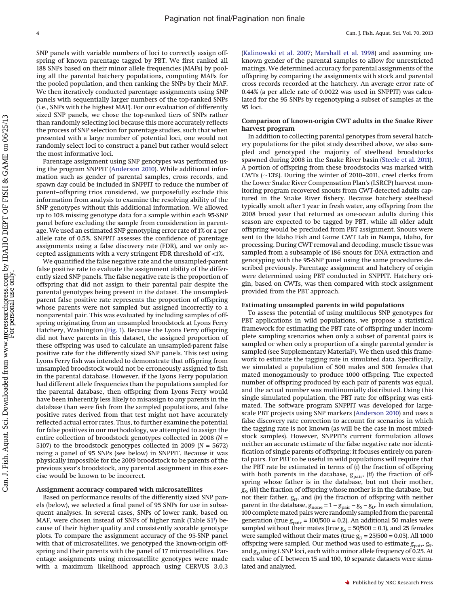SNP panels with variable numbers of loci to correctly assign offspring of known parentage tagged by PBT. We first ranked all 188 SNPs based on their minor allele frequencies (MAFs) by pooling all the parental hatchery populations, computing MAFs for the pooled population, and then ranking the SNPs by their MAF. We then iteratively conducted parentage assignments using SNP panels with sequentially larger numbers of the top-ranked SNPs (i.e., SNPs with the highest MAF). For our evaluation of differently sized SNP panels, we chose the top-ranked tiers of SNPs rather than randomly selecting loci because this more accurately reflects the process of SNP selection for parentage studies, such that when presented with a large number of potential loci, one would not randomly select loci to construct a panel but rather would select the most informative loci.

Parentage assignment using SNP genotypes was performed using the program SNPPIT [\(Anderson 2010\)](#page-7-2). While additional information such as gender of parental samples, cross records, and spawn day could be included in SNPPIT to reduce the number of parent–offspring trios considered, we purposefully exclude this information from analysis to examine the resolving ability of the SNP genotypes without this additional information. We allowed up to 10% missing genotype data for a sample within each 95-SNP panel before excluding the sample from consideration in parentage. We used an estimated SNP genotyping error rate of 1% or a per allele rate of 0.5%. SNPPIT assesses the confidence of parentage assignments using a false discovery rate (FDR), and we only accepted assignments with a very stringent FDR threshold of <1%.

We quantified the false negative rate and the unsampled-parent false positive rate to evaluate the assignment ability of the differently sized SNP panels. The false negative rate is the proportion of offspring that did not assign to their parental pair despite the parental genotypes being present in the dataset. The unsampledparent false positive rate represents the proportion of offspring whose parents were not sampled but assigned incorrectly to a nonparental pair. This was evaluated by including samples of offspring originating from an unsampled broodstock at Lyons Ferry Hatchery, Washington [\(Fig. 1\)](#page-2-0). Because the Lyons Ferry offspring did not have parents in this dataset, the assigned proportion of these offspring was used to calculate an unsampled-parent false positive rate for the differently sized SNP panels. This test using Lyons Ferry fish was intended to demonstrate that offspring from unsampled broodstock would not be erroneously assigned to fish in the parental database. However, if the Lyons Ferry population had different allele frequencies than the populations sampled for the parental database, then offspring from Lyons Ferry would have been inherently less likely to misassign to any parents in the database than were fish from the sampled populations, and false positive rates derived from that test might not have accurately reflected actual error rates. Thus, to further examine the potential for false positives in our methodology, we attempted to assign the entire collection of broodstock genotypes collected in 2008 (*N* = 5107) to the broodstock genotypes collected in 2009 (*N* = 5672) using a panel of 95 SNPs (see below) in SNPPIT. Because it was physically impossible for the 2009 broodstock to be parents of the previous year's broodstock, any parental assignment in this exercise would be known to be incorrect.

## **Assignment accuracy compared with microsatellites**

Based on performance results of the differently sized SNP panels (below), we selected a final panel of 95 SNPs for use in subsequent analyses. In several cases, SNPs of lower rank, based on MAF, were chosen instead of SNPs of higher rank (Table S1<sup>1</sup>) because of their higher quality and consistently scorable genotype plots. To compare the assignment accuracy of the 95-SNP panel with that of microsatellites, we genotyped the known-origin offspring and their parents with the panel of 17 microsatellites. Parentage assignments using microsatellite genotypes were made with a maximum likelihood approach using CERVUS 3.0.3

[\(Kalinowski et al. 2007;](#page-8-23) [Marshall et al. 1998\)](#page-8-24) and assuming unknown gender of the parental samples to allow for unrestricted matings. We determined accuracy for parental assignments of the offspring by comparing the assignments with stock and parental cross records recorded at the hatchery. An average error rate of 0.44% (a per allele rate of 0.0022 was used in SNPPIT) was calculated for the 95 SNPs by regenotyping a subset of samples at the 95 loci.

# **Comparison of known-origin CWT adults in the Snake River harvest program**

In addition to collecting parental genotypes from several hatchery populations for the pilot study described above, we also sampled and genotyped the majority of steelhead broodstocks spawned during 2008 in the Snake River basin [\(Steele et al. 2011\)](#page-8-17). A portion of offspring from these broodstocks was marked with CWTs ( $\sim$ 13%). During the winter of 2010–2011, creel clerks from the Lower Snake River Compensation Plan's (LSRCP) harvest monitoring program recovered snouts from CWT-detected adults captured in the Snake River fishery. Because hatchery steelhead typically smolt after 1 year in fresh water, any offspring from the 2008 brood year that returned as one-ocean adults during this season are expected to be tagged by PBT, while all older adult offspring would be precluded from PBT assignment. Snouts were sent to the Idaho Fish and Game CWT Lab in Nampa, Idaho, for processing. During CWT removal and decoding, muscle tissue was sampled from a subsample of 186 snouts for DNA extraction and genotyping with the 95-SNP panel using the same procedures described previously. Parentage assignment and hatchery of origin were determined using PBT conducted in SNPPIT. Hatchery origin, based on CWTs, was then compared with stock assignment provided from the PBT approach.

#### **Estimating unsampled parents in wild populations**

To assess the potential of using multilocus SNP genotypes for PBT applications in wild populations, we propose a statistical framework for estimating the PBT rate of offspring under incomplete sampling scenarios when only a subset of parental pairs is sampled or when only a proportion of a single parental gender is sampled (see Supplementary Material<sup>1</sup>). We then used this framework to estimate the tagging rate in simulated data. Specifically, we simulated a population of 500 males and 500 females that mated monogamously to produce 1000 offspring. The expected number of offspring produced by each pair of parents was equal, and the actual number was multinomially distributed. Using this single simulated population, the PBT rate for offspring was estimated. The software program SNPPIT was developed for largescale PBT projects using SNP markers [\(Anderson 2010\)](#page-7-2) and uses a false discovery rate correction to account for scenarios in which the tagging rate is not known (as will be the case in most mixedstock samples). However, SNPPIT's current formulation allows neither an accurate estimate of the false negative rate nor identification of single parents of offspring; it focuses entirely on parental pairs. For PBT to be useful in wild populations will require that the PBT rate be estimated in terms of (*i*) the fraction of offspring with both parents in the database,  $g_{\text{pair}}$ , (*ii*) the fraction of offspring whose father is in the database, but not their mother, *gS*, (*iii*) the fraction of offspring whose mother is in the database, but not their father,  $g_D$ , and (*iv*) the fraction of offspring with neither parent in the database,  $g_{\text{none}} = 1 - g_{\text{pair}} - g_{\text{S}} - g_{\text{D}}$ . In each simulation, 100 complete mated pairs were randomly sampled from the parental generation (true  $g_{\text{pair}} = 100/500 = 0.2$ ). An additional 50 males were sampled without their mates (true  $g_s = 50/500 = 0.1$ ), and 25 females were sampled without their mates (true  $g_D = 25/500 = 0.05$ ). All 1000 offspring were sampled. Our method was used to estimate  $g_{\text{pair}}$ ,  $g_{\text{S}}$ , and  $g_D$  using *L* SNP loci, each with a minor allele frequency of 0.25. At each value of *L* between 15 and 100, 10 separate datasets were simulated and analyzed.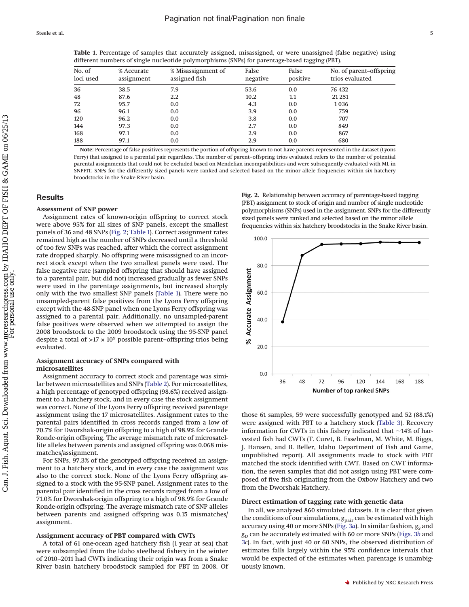<span id="page-4-1"></span>**Table 1.** Percentage of samples that accurately assigned, misassigned, or were unassigned (false negative) using different numbers of single nucleotide polymorphisms (SNPs) for parentage-based tagging (PBT).

| No. of<br>loci used | % Accurate<br>assignment | % Misassignment of<br>assigned fish | False<br>negative | False<br>positive | No. of parent-offspring<br>trios evaluated |  |  |
|---------------------|--------------------------|-------------------------------------|-------------------|-------------------|--------------------------------------------|--|--|
| 36                  | 38.5                     | 7.9                                 | 53.6              | 0.0               | 76 432                                     |  |  |
| 48                  | 87.6                     | $2.2^{\circ}$                       | 10.2              | 1.1               | 21 25 1                                    |  |  |
| 72                  | 95.7                     | 0.0                                 | 4.3               | 0.0               | 1036                                       |  |  |
| 96                  | 96.1                     | 0.0                                 | 3.9               | 0.0               | 759                                        |  |  |
| 120                 | 96.2                     | 0.0                                 | 3.8               | 0.0               | 707                                        |  |  |
| 144                 | 97.3                     | 0.0                                 | 2.7               | 0.0               | 849                                        |  |  |
| 168                 | 97.1                     | 0.0                                 | 2.9               | 0.0               | 867                                        |  |  |
| 188                 | 97.1                     | 0.0                                 | 2.9               | 0.0               | 680                                        |  |  |

**Note:** Percentage of false positives represents the portion of offspring known to not have parents represented in the dataset (Lyons Ferry) that assigned to a parental pair regardless. The number of parent–offspring trios evaluated refers to the number of potential parental assignments that could not be excluded based on Mendelian incompatibilities and were subsequently evaluated with ML in SNPPIT. SNPs for the differently sized panels were ranked and selected based on the minor allele frequencies within six hatchery broodstocks in the Snake River basin.

# **Results**

# **Assessment of SNP power**

Assignment rates of known-origin offspring to correct stock were above 95% for all sizes of SNP panels, except the smallest panels of 36 and 48 SNPs [\(Fig. 2;](#page-4-0) [Table 1\)](#page-4-1). Correct assignment rates remained high as the number of SNPs decreased until a threshold of too few SNPs was reached, after which the correct assignment rate dropped sharply. No offspring were misassigned to an incorrect stock except when the two smallest panels were used. The false negative rate (sampled offspring that should have assigned to a parental pair, but did not) increased gradually as fewer SNPs were used in the parentage assignments, but increased sharply only with the two smallest SNP panels [\(Table 1\)](#page-4-1). There were no unsampled-parent false positives from the Lyons Ferry offspring except with the 48-SNP panel when one Lyons Ferry offspring was assigned to a parental pair. Additionally, no unsampled-parent false positives were observed when we attempted to assign the 2008 broodstock to the 2009 broodstock using the 95-SNP panel despite a total of >17 × 109 possible parent–offspring trios being evaluated.

# **Assignment accuracy of SNPs compared with microsatellites**

Assignment accuracy to correct stock and parentage was similar between microsatellites and SNPs [\(Table 2\)](#page-5-0). For microsatellites, a high percentage of genotyped offspring (98.6%) received assignment to a hatchery stock, and in every case the stock assignment was correct. None of the Lyons Ferry offspring received parentage assignment using the 17 microsatellites. Assignment rates to the parental pairs identified in cross records ranged from a low of 70.7% for Dworshak-origin offspring to a high of 98.9% for Grande Ronde-origin offspring. The average mismatch rate of microsatellite alleles between parents and assigned offspring was 0.068 mismatches/assignment.

For SNPs, 97.3% of the genotyped offspring received an assignment to a hatchery stock, and in every case the assignment was also to the correct stock. None of the Lyons Ferry offspring assigned to a stock with the 95-SNP panel. Assignment rates to the parental pair identified in the cross records ranged from a low of 71.0% for Dworshak-origin offspring to a high of 98.9% for Grande Ronde-origin offspring. The average mismatch rate of SNP alleles between parents and assigned offspring was 0.15 mismatches/ assignment.

#### **Assignment accuracy of PBT compared with CWTs**

A total of 61 one-ocean aged hatchery fish (1 year at sea) that were subsampled from the Idaho steelhead fishery in the winter of 2010–2011 had CWTs indicating their origin was from a Snake River basin hatchery broodstock sampled for PBT in 2008. Of <span id="page-4-0"></span>**Fig. 2.** Relationship between accuracy of parentage-based tagging (PBT) assignment to stock of origin and number of single nucleotide polymorphisms (SNPs) used in the assignment. SNPs for the differently sized panels were ranked and selected based on the minor allele frequencies within six hatchery broodstocks in the Snake River basin.



those 61 samples, 59 were successfully genotyped and 52 (88.1%) were assigned with PBT to a hatchery stock [\(Table 3\)](#page-5-1). Recovery information for CWTs in this fishery indicated that  $\sim$ 14% of harvested fish had CWTs (T. Curet, B. Esselman, M. White, M. Biggs, J. Hansen, and B. Beller, Idaho Department of Fish and Game, unpublished report). All assignments made to stock with PBT matched the stock identified with CWT. Based on CWT information, the seven samples that did not assign using PBT were composed of five fish originating from the Oxbow Hatchery and two from the Dworshak Hatchery.

# **Direct estimation of tagging rate with genetic data**

In all, we analyzed 860 simulated datasets. It is clear that given the conditions of our simulations,  $g_{\text{pair}}$  can be estimated with high accuracy using 40 or more SNPs [\(Fig. 3](#page-5-2)*a*). In similar fashion,  $g_S$  and *gD* can be accurately estimated with 60 or more SNPs [\(Figs. 3](#page-5-2)*b* and [3](#page-5-2)*c*). In fact, with just 40 or 60 SNPs, the observed distribution of estimates falls largely within the 95% confidence intervals that would be expected of the estimates when parentage is unambiguously known.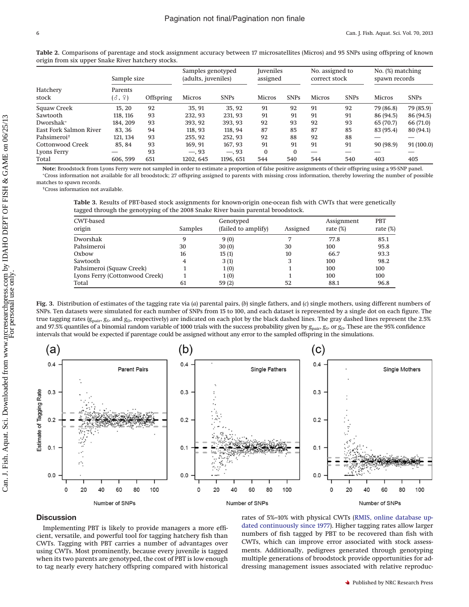|                         | Sample size       |                  | Samples genotyped<br>(adults, juveniles) |             | <b>Iuveniles</b><br>assigned |             | No. assigned to<br>correct stock |             | No. (%) matching<br>spawn records |             |
|-------------------------|-------------------|------------------|------------------------------------------|-------------|------------------------------|-------------|----------------------------------|-------------|-----------------------------------|-------------|
| Hatchery<br>stock       | Parents<br>(종, 우) | <b>Offspring</b> | <b>Micros</b>                            | <b>SNPs</b> | <b>Micros</b>                | <b>SNPs</b> | <b>Micros</b>                    | <b>SNPs</b> | <b>Micros</b>                     | <b>SNPs</b> |
| Squaw Creek             | 15, 20            | 92               | 35.91                                    | 35, 92      | 91                           | 92          | 91                               | 92          | 79 (86.8)                         | 79 (85.9)   |
| Sawtooth                | 118, 116          | 93               | 232.93                                   | 231, 93     | 91                           | 91          | 91                               | 91          | 86 (94.5)                         | 86 (94.5)   |
| Dworshak*               | 184, 209          | 93               | 393.92                                   | 393.93      | 92                           | 93          | 92                               | 93          | 65 (70.7)                         | 66 (71.0)   |
| East Fork Salmon River  | 83.36             | 94               | 118, 93                                  | 118, 94     | 87                           | 85          | 87                               | 85          | 83 (95.4)                         | 80(94.1)    |
| Pahsimeroi <sup>†</sup> | 121, 134          | 93               | 255.92                                   | 252.93      | 92                           | 88          | 92                               | 88          |                                   | –           |
| Cottonwood Creek        | 85.84             | 93               | 169.91                                   | 167, 93     | 91                           | 91          | 91                               | 91          | 90(98.9)                          | 91(100.0)   |
| Lyons Ferry             |                   | 93               | $-.93$                                   | $-.93$      | $\Omega$                     | $\Omega$    |                                  |             |                                   |             |
| Total                   | 606, 599          | 651              | 1202.645                                 | 1196, 651   | 544                          | 540         | 544                              | 540         | 403                               | 405         |

<span id="page-5-0"></span>**Table 2.** Comparisons of parentage and stock assignment accuracy between 17 microsatellites (Micros) and 95 SNPs using offspring of known origin from six upper Snake River hatchery stocks.

**Note:** Broodstock from Lyons Ferry were not sampled in order to estimate a proportion of false positive assignments of their offspring using a 95-SNP panel. Cross information not available for all broodstock; 27 offspring assigned to parents with missing cross information, thereby lowering the number of possible

matches to spawn records. †Cross information not available.

<span id="page-5-1"></span>**Table 3.** Results of PBT-based stock assignments for known-origin one-ocean fish with CWTs that were genetically tagged through the genotyping of the 2008 Snake River basin parental broodstock.

| CWT-based<br>origin            | Samples | Genotyped<br>(failed to amplify) | Assigned | Assignment<br>rate $(\%)$ | <b>PBT</b><br>rate $(\%)$ |
|--------------------------------|---------|----------------------------------|----------|---------------------------|---------------------------|
| Dworshak                       | 9       | 9(0)                             | 7        | 77.8                      | 85.1                      |
| Pahsimeroi                     | 30      | 30(0)                            | 30       | 100                       | 95.8                      |
| Oxbow                          | 16      | 15(1)                            | 10       | 66.7                      | 93.3                      |
| Sawtooth                       | 4       | 3(1)                             | 3        | 100                       | 98.2                      |
| Pahsimeroi (Squaw Creek)       |         | 1(0)                             |          | 100                       | 100                       |
| Lyons Ferry (Cottonwood Creek) |         | 1(0)                             |          | 100                       | 100                       |
| Total                          | 61      | 59(2)                            | 52       | 88.1                      | 96.8                      |

<span id="page-5-2"></span>**Fig. 3.** Distribution of estimates of the tagging rate via (*a*) parental pairs, (*b*) single fathers, and (*c*) single mothers, using different numbers of SNPs. Ten datasets were simulated for each number of SNPs from 15 to 100, and each dataset is represented by a single dot on each figure. The true tagging rates ( $g_{pair}$ ,  $g_s$ , and  $g_D$ , respectively) are indicated on each plot by the black dashed lines. The gray dashed lines represent the 2.5% and 97.5% quantiles of a binomial random variable of 1000 trials with the success probability given by  $g_{\text{pair}}$ ,  $g_S$ , or  $g_D$ . These are the 95% confidence intervals that would be expected if parentage could be assigned without any error to the sampled offspring in the simulations.



## **Discussion**

Implementing PBT is likely to provide managers a more efficient, versatile, and powerful tool for tagging hatchery fish than CWTs. Tagging with PBT carries a number of advantages over using CWTs. Most prominently, because every juvenile is tagged when its two parents are genotyped, the cost of PBT is low enough to tag nearly every hatchery offspring compared with historical rates of 5%–10% with physical CWTs [\(RMIS, online database up](#page-8-6)[dated continuously since 1977\)](#page-8-6). Higher tagging rates allow larger numbers of fish tagged by PBT to be recovered than fish with CWTs, which can improve error associated with stock assessments. Additionally, pedigrees generated through genotyping multiple generations of broodstock provide opportunities for addressing management issues associated with relative reproduc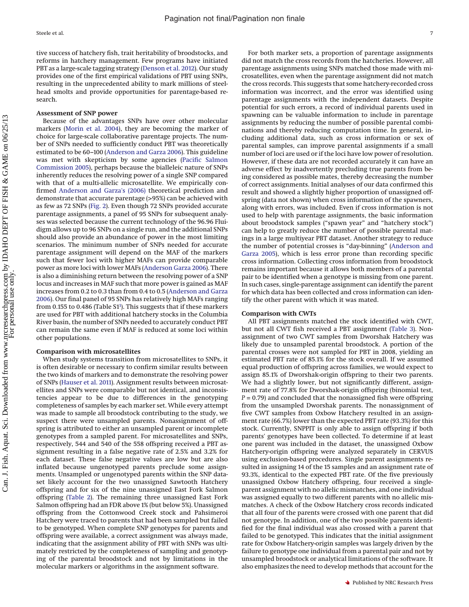tive success of hatchery fish, trait heritability of broodstocks, and reforms in hatchery management. Few programs have initiated PBT as a large-scale tagging strategy [\(Denson et al. 2012\)](#page-8-25). Our study provides one of the first empirical validations of PBT using SNPs, resulting in the unprecedented ability to mark millions of steelhead smolts and provide opportunities for parentage-based research.

## **Assessment of SNP power**

Because of the advantages SNPs have over other molecular markers [\(Morin et al. 2004\)](#page-8-10), they are becoming the marker of choice for large-scale collaborative parentage projects. The number of SNPs needed to sufficiently conduct PBT was theoretically estimated to be 60–100 [\(Anderson and Garza 2006\)](#page-7-1). This guideline was met with skepticism by some agencies [\(Pacific Salmon](#page-8-4) [Commission 2005\)](#page-8-4), perhaps because the bialleleic nature of SNPs inherently reduces the resolving power of a single SNP compared with that of a multi-allelic microsatellite. We empirically confirmed [Anderson and Garza's \(2006\)](#page-7-1) theoretical prediction and demonstrate that accurate parentage (>95%) can be achieved with as few as 72 SNPs [\(Fig. 2\)](#page-4-0). Even though 72 SNPs provided accurate parentage assignments, a panel of 95 SNPs for subsequent analyses was selected because the current technology of the 96.96 Fluidigm allows up to 96 SNPs on a single run, and the additional SNPs should also provide an abundance of power in the most limiting scenarios. The minimum number of SNPs needed for accurate parentage assignment will depend on the MAF of the markers such that fewer loci with higher MAFs can provide comparable power as more loci with lower MAFs [\(Anderson Garza 2006\)](#page-7-1). There is also a diminishing return between the resolving power of a SNP locus and increases in MAF such that more power is gained as MAF increases from 0.2 to 0.3 than from 0.4 to 0.5 [\(Anderson and Garza](#page-7-1) [2006\)](#page-7-1). Our final panel of 95 SNPs has relatively high MAFs ranging from 0.155 to 0.486 (Table S1<sup>1</sup>). This suggests that if these markers are used for PBT with additional hatchery stocks in the Columbia River basin, the number of SNPs needed to accurately conduct PBT can remain the same even if MAF is reduced at some loci within other populations.

#### **Comparison with microsatellites**

When study systems transition from microsatellites to SNPs, it is often desirable or necessary to confirm similar results between the two kinds of markers and to demonstrate the resolving power of SNPs [\(Hauser et al. 2011\)](#page-8-14). Assignment results between microsatellites and SNPs were comparable but not identical, and inconsistencies appear to be due to differences in the genotyping completeness of samples by each marker set. While every attempt was made to sample all broodstock contributing to the study, we suspect there were unsampled parents. Nonassignment of offspring is attributed to either an unsampled parent or incomplete genotypes from a sampled parent. For microsatellites and SNPs, respectively, 544 and 540 of the 558 offspring received a PBT assignment resulting in a false negative rate of 2.5% and 3.2% for each dataset. These false negative values are low but are also inflated because ungenotyped parents preclude some assignments. Unsampled or ungenotyped parents within the SNP dataset likely account for the two unassigned Sawtooth Hatchery offspring and for six of the nine unassigned East Fork Salmon offspring [\(Table 2\)](#page-5-0). The remaining three unassigned East Fork Salmon offspring had an FDR above 1% (but below 5%). Unassigned offspring from the Cottonwood Creek stock and Pahsimeroi Hatchery were traced to parents that had been sampled but failed to be genotyped. When complete SNP genotypes for parents and offspring were available, a correct assignment was always made, indicating that the assignment ability of PBT with SNPs was ultimately restricted by the completeness of sampling and genotyping of the parental broodstock and not by limitations in the molecular markers or algorithms in the assignment software.

For both marker sets, a proportion of parentage assignments did not match the cross records from the hatcheries. However, all parentage assignments using SNPs matched those made with microsatellites, even when the parentage assignment did not match the cross records. This suggests that some hatchery-recorded cross information was incorrect, and the error was identified using parentage assignments with the independent datasets. Despite potential for such errors, a record of individual parents used in spawning can be valuable information to include in parentage assignments by reducing the number of possible parental combinations and thereby reducing computation time. In general, including additional data, such as cross information or sex of parental samples, can improve parental assignments if a small number of loci are used or if the loci have low power of resolution. However, if these data are not recorded accurately it can have an adverse effect by inadvertently precluding true parents from being considered as possible mates, thereby decreasing the number of correct assignments. Initial analyses of our data confirmed this result and showed a slightly higher proportion of unassigned offspring (data not shown) when cross information of the spawners, along with errors, was included. Even if cross information is not used to help with parentage assignments, the basic information about broodstock samples ("spawn year" and "hatchery stock") can help to greatly reduce the number of possible parental matings in a large multiyear PBT dataset. Another strategy to reduce the number of potential crosses is "day-binning" [\(Anderson and](#page-7-0) [Garza 2005\)](#page-7-0), which is less error prone than recording specific cross information. Collecting cross information from broodstock remains important because it allows both members of a parental pair to be identified when a genotype is missing from one parent. In such cases, single-parentage assignment can identify the parent for which data has been collected and cross information can identify the other parent with which it was mated.

#### **Comparison with CWTs**

All PBT assignments matched the stock identified with CWT, but not all CWT fish received a PBT assignment [\(Table 3\)](#page-5-1). Nonassignment of two CWT samples from Dworshak Hatchery was likely due to unsampled parental broodstock. A portion of the parental crosses were not sampled for PBT in 2008, yielding an estimated PBT rate of 85.1% for the stock overall. If we assumed equal production of offspring across families, we would expect to assign 85.1% of Dworshak-origin offspring to their two parents. We had a slightly lower, but not significantly different, assignment rate of 77.8% for Dworshak-origin offspring (binomial test, *P* = 0.79) and concluded that the nonassigned fish were offspring from the unsampled Dworshak parents. The nonassignment of five CWT samples from Oxbow Hatchery resulted in an assignment rate (66.7%) lower than the expected PBT rate (93.3%) for this stock. Currently, SNPPIT is only able to assign offspring if both parents' genotypes have been collected. To determine if at least one parent was included in the dataset, the unassigned Oxbow Hatchery-origin offspring were analyzed separately in CERVUS using exclusion-based procedures. Single parent assignments resulted in assigning 14 of the 15 samples and an assignment rate of 93.3%, identical to the expected PBT rate. Of the five previously unassigned Oxbow Hatchery offspring, four received a singleparent assignment with no allelic mismatches, and one individual was assigned equally to two different parents with no allelic mismatches. A check of the Oxbow Hatchery cross records indicated that all four of the parents were crossed with one parent that did not genotype. In addition, one of the two possible parents identified for the final individual was also crossed with a parent that failed to be genotyped. This indicates that the initial assignment rate for Oxbow Hatchery-origin samples was largely driven by the failure to genotype one individual from a parental pair and not by unsampled broodstock or analytical limitations of the software. It also emphasizes the need to develop methods that account for the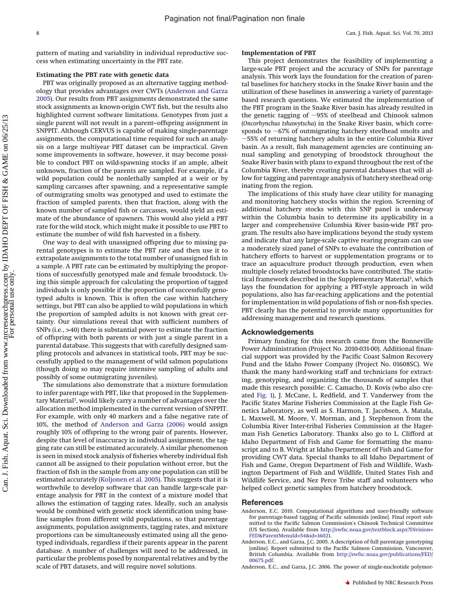pattern of mating and variability in individual reproductive success when estimating uncertainty in the PBT rate.

# **Estimating the PBT rate with genetic data**

PBT was originally proposed as an alternative tagging methodology that provides advantages over CWTs [\(Anderson and Garza](#page-7-0) [2005\)](#page-7-0). Our results from PBT assignments demonstrated the same stock assignments as known-origin CWT fish, but the results also highlighted current software limitations. Genotypes from just a single parent will not result in a parent–offspring assignment in SNPPIT. Although CERVUS is capable of making single-parentage assignments, the computational time required for such an analysis on a large multiyear PBT dataset can be impractical. Given some improvements in software, however, it may become possible to conduct PBT on wild-spawning stocks if an ample, albeit unknown, fraction of the parents are sampled. For example, if a wild population could be nonlethally sampled at a weir or by sampling carcasses after spawning, and a representative sample of outmigrating smolts was genotyped and used to estimate the fraction of sampled parents, then that fraction, along with the known number of sampled fish or carcasses, would yield an estimate of the abundance of spawners. This would also yield a PBT rate for the wild stock, which might make it possible to use PBT to estimate the number of wild fish harvested in a fishery.

One way to deal with unassigned offspring due to missing parental genotypes is to estimate the PBT rate and then use it to extrapolate assignments to the total number of unassigned fish in a sample. A PBT rate can be estimated by multiplying the proportions of successfully genotyped male and female broodstock. Using this simple approach for calculating the proportion of tagged individuals is only possible if the proportion of successfully genotyped adults is known. This is often the case within hatchery settings, but PBT can also be applied to wild populations in which the proportion of sampled adults is not known with great certainty. Our simulations reveal that with sufficient numbers of SNPs (i.e., >40) there is substantial power to estimate the fraction of offspring with both parents or with just a single parent in a parental database. This suggests that with carefully designed sampling protocols and advances in statistical tools, PBT may be successfully applied to the management of wild salmon populations (though doing so may require intensive sampling of adults and possibly of some outmigrating juveniles).

The simulations also demonstrate that a mixture formulation to infer parentage with PBT, like that proposed in the Supplementary Material<sup>1</sup>, would likely carry a number of advantages over the allocation method implemented in the current version of SNPPIT. For example, with only 40 markers and a false negative rate of 10%, the method of [Anderson and Garza \(2006\)](#page-7-1) would assign roughly 10% of offspring to the wrong pair of parents. However, despite that level of inaccuracy in individual assignment, the tagging rate can still be estimated accurately. A similar phenomenon is seen in mixed stock analysis of fisheries whereby individual fish cannot all be assigned to their population without error, but the fraction of fish in the sample from any one population can still be estimated accurately [\(Koljonen et al. 2005\)](#page-8-26). This suggests that it is worthwhile to develop software that can handle large-scale parentage analysis for PBT in the context of a mixture model that allows the estimation of tagging rates. Ideally, such an analysis would be combined with genetic stock identification using baseline samples from different wild populations, so that parentage assignments, population assignments, tagging rates, and mixture proportions can be simultaneously estimated using all the genotyped individuals, regardless if their parents appear in the parent database. A number of challenges will need to be addressed, in particular the problems posed by nonparental relatives and by the scale of PBT datasets, and will require novel solutions.

#### **Implementation of PBT**

This project demonstrates the feasibility of implementing a large-scale PBT project and the accuracy of SNPs for parentage analysis. This work lays the foundation for the creation of parental baselines for hatchery stocks in the Snake River basin and the utilization of these baselines in answering a variety of parentagebased research questions. We estimated the implementation of the PBT program in the Snake River basin has already resulted in the genetic tagging of  $\sim$ 95% of steelhead and Chinook salmon (*Oncorhynchus tshawytscha*) in the Snake River basin, which corresponds to  $~67\%$  of outmigrating hatchery steelhead smolts and  $\sim$ 55% of returning hatchery adults in the entire Columbia River basin. As a result, fish management agencies are continuing annual sampling and genotyping of broodstock throughout the Snake River basin with plans to expand throughout the rest of the Columbia River, thereby creating parental databases that will allow for tagging and parentage analysis of hatchery steelhead originating from the region.

The implications of this study have clear utility for managing and monitoring hatchery stocks within the region. Screening of additional hatchery stocks with this SNP panel is underway within the Columbia basin to determine its applicability in a larger and comprehensive Columbia River basin-wide PBT program. The results also have implications beyond the study system and indicate that any large-scale captive rearing program can use a moderately sized panel of SNPs to evaluate the contribution of hatchery efforts to harvest or supplementation programs or to trace an aquaculture product through production, even when multiple closely related broodstocks have contributed. The statistical framework described in the Supplementary Material<sup>1</sup>, which lays the foundation for applying a PBT-style approach in wild populations, also has far-reaching applications and the potential for implementation in wild populations of fish or non-fish species. PBT clearly has the potential to provide many opportunities for addressing management and research questions.

# **Acknowledgements**

Primary funding for this research came from the Bonneville Power Administration (Project No. 2010-031-00). Additional financial support was provided by the Pacific Coast Salmon Recovery Fund and the Idaho Power Company (Project No. 01608SC). We thank the many hard-working staff and technicians for extracting, genotyping, and organizing the thousands of samples that made this research possible: C. Camacho, D. Kovis (who also created [Fig. 1\)](#page-2-0), J. McCane, L. Redfield, and T. Vanderwey from the Pacific States Marine Fisheries Commission at the Eagle Fish Genetics Laboratory, as well as S. Harmon, T. Jacobsen, A. Matala, L. Maxwell, M. Moore, V. Morman, and J. Stephenson from the Columbia River Inter-tribal Fisheries Commission at the Hagerman Fish Genetics Laboratory. Thanks also go to L. Clifford at Idaho Department of Fish and Game for formatting the manuscript and to B. Wright at Idaho Department of Fish and Game for providing CWT data. Special thanks to all Idaho Department of Fish and Game, Oregon Department of Fish and Wildlife, Washington Department of Fish and Wildlife, United States Fish and Wildlife Service, and Nez Perce Tribe staff and volunteers who helped collect genetic samples from hatchery broodstock.

#### <span id="page-7-2"></span>**References**

- Anderson, E.C. 2010. Computational algorithms and user-friendly software for parentage-based tagging of Pacific salmonids [online]. Final report submitted to the Pacific Salmon Commission's Chinook Technical Committee (US Section). Available from [http://swfsc.noaa.gov/textblock.aspx?Division=](http://swfsc.noaa.gov/textblock.aspx?Division=FED&ParentMenuId=54&id=16021) [FED&ParentMenuId=54&id=16021.](http://swfsc.noaa.gov/textblock.aspx?Division=FED&ParentMenuId=54&id=16021)
- <span id="page-7-0"></span>Anderson, E.C., and Garza, J.C. 2005. A description of full parentage genotyping [online]. Report submitted to the Pacific Salmon Commission, Vancouver, British Columbia. Available from [http://swfsc.noaa.gov/publications/FED/](http://swfsc.noaa.gov/publications/FED/00675.pdf) [00675.pdf.](http://swfsc.noaa.gov/publications/FED/00675.pdf)

<span id="page-7-1"></span>Anderson, E.C., and Garza, J.C. 2006. The power of single-nucleotide polymor-